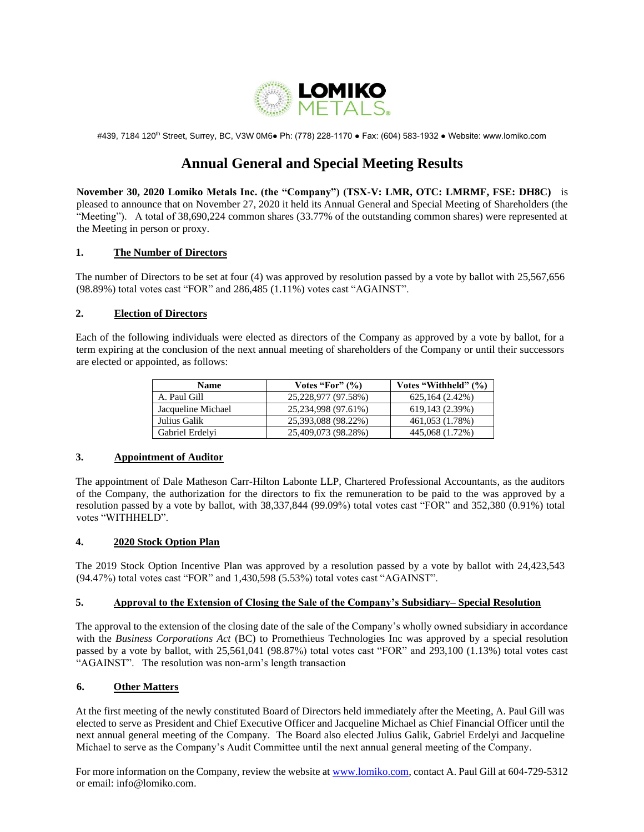

#439, 7184 120th Street, Surrey, BC, V3W 0M6● Ph: (778) 228-1170 ● Fax: (604) 583-1932 ● Website: www.lomiko.com

# **Annual General and Special Meeting Results**

**November 30, 2020 Lomiko Metals Inc. (the "Company") (TSX-V: LMR, OTC: LMRMF, FSE: DH8C)** is pleased to announce that on November 27, 2020 it held its Annual General and Special Meeting of Shareholders (the "Meeting"). A total of 38,690,224 common shares (33.77% of the outstanding common shares) were represented at the Meeting in person or proxy.

## **1. The Number of Directors**

The number of Directors to be set at four (4) was approved by resolution passed by a vote by ballot with 25,567,656 (98.89%) total votes cast "FOR" and 286,485 (1.11%) votes cast "AGAINST".

## **2. Election of Directors**

Each of the following individuals were elected as directors of the Company as approved by a vote by ballot, for a term expiring at the conclusion of the next annual meeting of shareholders of the Company or until their successors are elected or appointed, as follows:

| <b>Name</b>        | Votes "For" $(\% )$ | Votes "Withheld" (%) |
|--------------------|---------------------|----------------------|
| A. Paul Gill       | 25,228,977 (97.58%) | 625,164 (2.42%)      |
| Jacqueline Michael | 25,234,998 (97.61%) | 619,143 (2.39%)      |
| Julius Galik       | 25,393,088 (98.22%) | 461,053 (1.78%)      |
| Gabriel Erdelyi    | 25,409,073 (98.28%) | 445,068 (1.72%)      |

# **3. Appointment of Auditor**

The appointment of Dale Matheson Carr-Hilton Labonte LLP, Chartered Professional Accountants, as the auditors of the Company, the authorization for the directors to fix the remuneration to be paid to the was approved by a resolution passed by a vote by ballot, with 38,337,844 (99.09%) total votes cast "FOR" and 352,380 (0.91%) total votes "WITHHELD".

# **4. 2020 Stock Option Plan**

The 2019 Stock Option Incentive Plan was approved by a resolution passed by a vote by ballot with 24,423,543 (94.47%) total votes cast "FOR" and 1,430,598 (5.53%) total votes cast "AGAINST".

#### **5. Approval to the Extension of Closing the Sale of the Company's Subsidiary– Special Resolution**

The approval to the extension of the closing date of the sale of the Company's wholly owned subsidiary in accordance with the *Business Corporations Act* (BC) to Promethieus Technologies Inc was approved by a special resolution passed by a vote by ballot, with 25,561,041 (98.87%) total votes cast "FOR" and 293,100 (1.13%) total votes cast "AGAINST". The resolution was non-arm's length transaction

# **6. Other Matters**

At the first meeting of the newly constituted Board of Directors held immediately after the Meeting, A. Paul Gill was elected to serve as President and Chief Executive Officer and Jacqueline Michael as Chief Financial Officer until the next annual general meeting of the Company. The Board also elected Julius Galik, Gabriel Erdelyi and Jacqueline Michael to serve as the Company's Audit Committee until the next annual general meeting of the Company.

For more information on the Company, review the website at [www.lomiko.com,](http://www.lomiko.com/) contact A. Paul Gill at 604-729-5312 or email: info@lomiko.com.